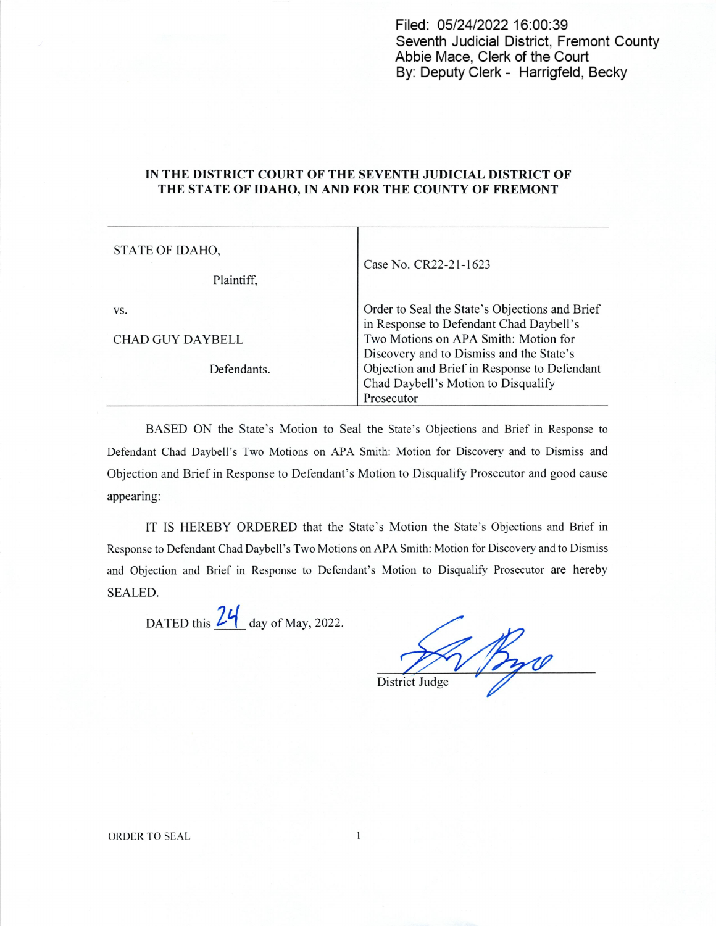Filed: 05/24/2022 16:00:39 Seventh Judicial District, Fremont County Abbie Mace, Clerk of the Court By: Deputy Clerk - Harrigfeld, Becky

## IN THE DISTRICT COURT OF THE SEVENTH JUDICIAL DISTRICT 0F THE STATE OF IDAHO, IN AND FOR THE COUNTY OF FREMONT

| STATE OF IDAHO,         | Case No. CR22-21-1623                                                                             |
|-------------------------|---------------------------------------------------------------------------------------------------|
| Plaintiff,              |                                                                                                   |
| VS.                     | Order to Seal the State's Objections and Brief<br>in Response to Defendant Chad Daybell's         |
| <b>CHAD GUY DAYBELL</b> | Two Motions on APA Smith: Motion for<br>Discovery and to Dismiss and the State's                  |
| Defendants.             | Objection and Brief in Response to Defendant<br>Chad Daybell's Motion to Disqualify<br>Prosecutor |

BASED ON the State's Motion to Seal the State's Objections and Brief in Response to Defendant Chad Daybell's Two Motions on APA Smith: Motion for Discovery and to Dismiss and Objection and Brief in Response to Defendant's Motion to Disqualify Prosecutor and good cause appearing:

IT IS HEREBY ORDERED that the State's Motion the State's Objections and Brief in Response to Defendant Chad Daybell's Two Motions on APA Smith: Motion for Discovery and to Dismiss and Objection and Brief in Response to Defendant's Motion to Disqualify Prosecutor are hereby SEALED.

DATED this  $24$  day of May, 2022.

District Judge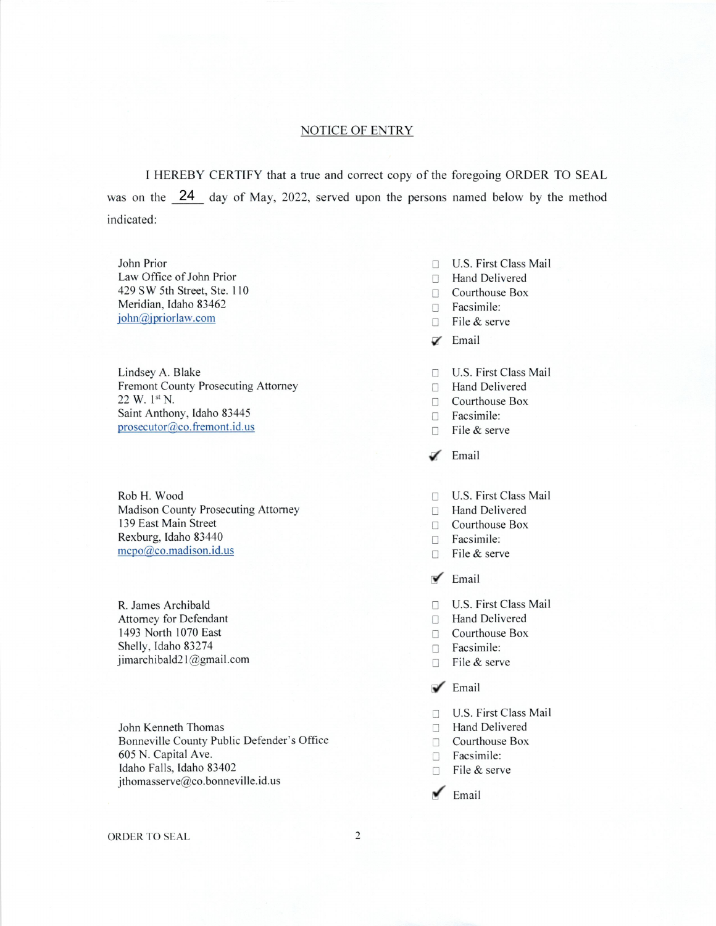## NOTICE OF ENTRY

I HEREBY CERTIFY that a true and correct copy of the foregoing ORDER TO SEAL was on the 24 day of May, 2022, served upon the persons named below by the method indicated:

Law Office of John Prior **I3 Hand Delivered** 429 SW 5th Street, Ste. 110 Courthouse Box Meridian, Idaho 83462  $\Box$  Facsimile:<br>  $\Box$  Facsimile:<br>  $\Box$  Facsimile:

Lindsey A. Blake U.S. First Class Mail Fremont County Prosecuting Attorney Company County Prosecuting Attorney Fremont County Prosecuting Attorney<br>22 W. 1st N. Saint Anthony, Idaho 83445 El Facsimile:  $\Box$  File & serve

Rob H. Wood E] US. First Class Mail Madison County Prosecuting Attorney <br>
139 East Main Street <br>
139 East Main Street <br>
139 East Main Street <br>
139 East Main Street <br>
139 East Main Street <br>
139 East Main Street <br>
139 East Main Street <br>
139 East Main Street <br> Rexburg, Idaho 83440 Facsimile: mcpo@co.madison.id.us Ele & serve

R. James Archibald E] US. First Class Mail Attorney for Defendant  $\Box$  Hand Delivered 1493 North 1070 East  $\Box$  Courthouse Box 1493 North 1070 East<br>Shelly, Idaho 83274 jimarchibald21@gmail.com File & serve

John Kenneth Thomas Bonneville County Public Defender's Office Courthouse Box 605 N. Capital Ave. Idaho Falls, Idaho 83402  $\Box$  File & serve jthomasserve@co.bonneville.id.us

- John Prior  $\Box$  U.S. First Class Mail
	-
	-
	-
	- $\Box$  File & serve
	- $\mathbb Z$  Email
	-
	-
	- $\Box$  Courthouse Box
	-
	-
	- $\angle$  Email
	-
	-
	- **139 Courthouse Box**
	-
	-
	- $\blacktriangleright$  Email
	-
	-
	-
	- $\Box$  Facsimile:
	-
	- $\sqrt{\ }$  Email
	- □ U.S. First Class Mail<br>□ Hand Delivered
	-
	-
	-
	-
	- Email